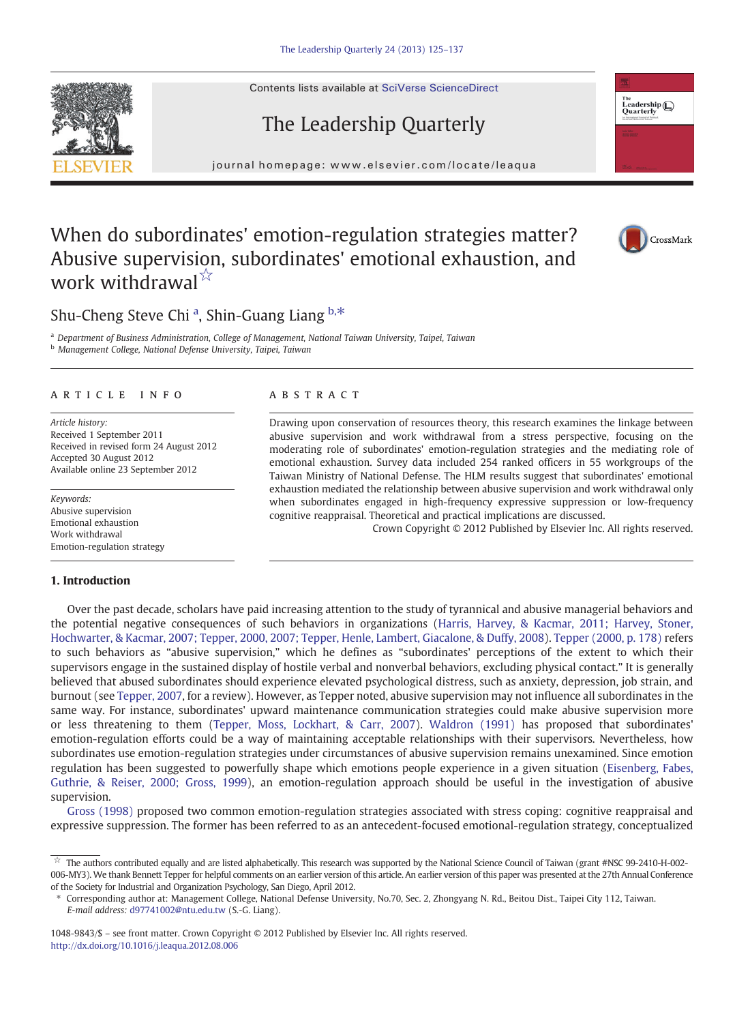Contents lists available at SciVerse ScienceDirect

# The Leadership Quarterly

journal homepage: www.elsevier.com/locate/leagua journal homepage: www.elsevier.com/locate/leadual homepage: www.elsevier.com/locate/leadual homepage:  $\mathcal{L}$ 

## When do subordinates' emotion-regulation strategies matter? Abusive supervision, subordinates' emotional exhaustion, and work withdrawal<sup>☆</sup>

## Shu-Cheng Steve Chi<sup>a</sup>, Shin-Guang Liang b,\*

<sup>a</sup> Department of Business Administration, College of Management, National Taiwan University, Taipei, Taiwan

**b** Management College, National Defense University, Taipei, Taiwan

### article info abstract

Article history: Received 1 September 2011 Received in revised form 24 August 2012 Accepted 30 August 2012 Available online 23 September 2012

Keywords: Abusive supervision Emotional exhaustion Work withdrawal Emotion-regulation strategy

### 1. Introduction

Drawing upon conservation of resources theory, this research examines the linkage between abusive supervision and work withdrawal from a stress perspective, focusing on the moderating role of subordinates' emotion-regulation strategies and the mediating role of emotional exhaustion. Survey data included 254 ranked officers in 55 workgroups of the Taiwan Ministry of National Defense. The HLM results suggest that subordinates' emotional exhaustion mediated the relationship between abusive supervision and work withdrawal only when subordinates engaged in high-frequency expressive suppression or low-frequency cognitive reappraisal. Theoretical and practical implications are discussed.

Crown Copyright © 2012 Published by Elsevier Inc. All rights reserved.

Over the past decade, scholars have paid increasing attention to the study of tyrannical and abusive managerial behaviors and the potential negative consequences of such behaviors in organizations ([Harris, Harvey, & Kacmar, 2011; Harvey, Stoner,](#page--1-0) [Hochwarter, & Kacmar, 2007; Tepper, 2000, 2007; Tepper, Henle, Lambert, Giacalone, & Duffy, 2008\)](#page--1-0). [Tepper \(2000, p. 178\)](#page--1-0) refers to such behaviors as "abusive supervision," which he defines as "subordinates' perceptions of the extent to which their supervisors engage in the sustained display of hostile verbal and nonverbal behaviors, excluding physical contact." It is generally believed that abused subordinates should experience elevated psychological distress, such as anxiety, depression, job strain, and burnout (see [Tepper, 2007](#page--1-0), for a review). However, as Tepper noted, abusive supervision may not influence all subordinates in the same way. For instance, subordinates' upward maintenance communication strategies could make abusive supervision more or less threatening to them [\(Tepper, Moss, Lockhart, & Carr, 2007](#page--1-0)). [Waldron \(1991\)](#page--1-0) has proposed that subordinates' emotion-regulation efforts could be a way of maintaining acceptable relationships with their supervisors. Nevertheless, how subordinates use emotion-regulation strategies under circumstances of abusive supervision remains unexamined. Since emotion regulation has been suggested to powerfully shape which emotions people experience in a given situation ([Eisenberg, Fabes,](#page--1-0) [Guthrie, & Reiser, 2000; Gross, 1999](#page--1-0)), an emotion-regulation approach should be useful in the investigation of abusive supervision.

[Gross \(1998\)](#page--1-0) proposed two common emotion-regulation strategies associated with stress coping: cognitive reappraisal and expressive suppression. The former has been referred to as an antecedent-focused emotional-regulation strategy, conceptualized







 $\overrightarrow{x}$  The authors contributed equally and are listed alphabetically. This research was supported by the National Science Council of Taiwan (grant #NSC 99-2410-H-002-006-MY3). We thank Bennett Tepper for helpful comments on an earlier version of this article. An earlier version of this paper was presented at the 27th Annual Conference of the Society for Industrial and Organization Psychology, San Diego, April 2012.

<sup>⁎</sup> Corresponding author at: Management College, National Defense University, No.70, Sec. 2, Zhongyang N. Rd., Beitou Dist., Taipei City 112, Taiwan. E-mail address: [d97741002@ntu.edu.tw](mailto:d97741002@ntu.edu.tw) (S.-G. Liang).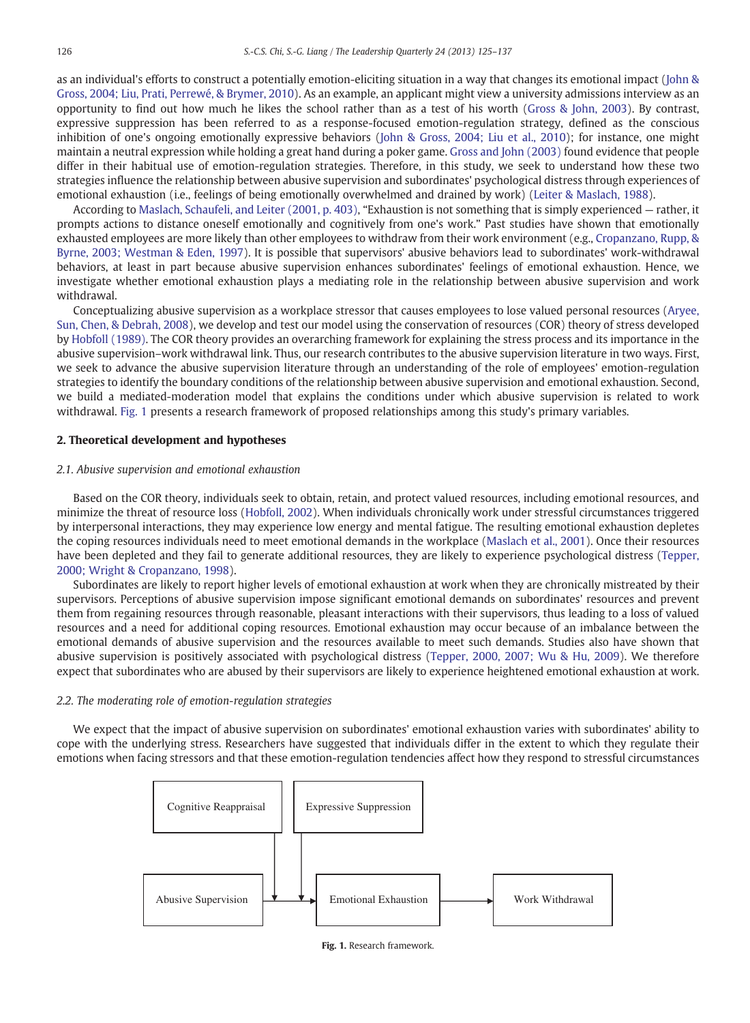as an individual's efforts to construct a potentially emotion-eliciting situation in a way that changes its emotional impact [\(John &](#page--1-0) [Gross, 2004; Liu, Prati, Perrewé, & Brymer, 2010](#page--1-0)). As an example, an applicant might view a university admissions interview as an opportunity to find out how much he likes the school rather than as a test of his worth ([Gross & John, 2003](#page--1-0)). By contrast, expressive suppression has been referred to as a response-focused emotion-regulation strategy, defined as the conscious inhibition of one's ongoing emotionally expressive behaviors [\(John & Gross, 2004; Liu et al., 2010\)](#page--1-0); for instance, one might maintain a neutral expression while holding a great hand during a poker game. [Gross and John \(2003\)](#page--1-0) found evidence that people differ in their habitual use of emotion-regulation strategies. Therefore, in this study, we seek to understand how these two strategies influence the relationship between abusive supervision and subordinates' psychological distress through experiences of emotional exhaustion (i.e., feelings of being emotionally overwhelmed and drained by work) [\(Leiter & Maslach, 1988\)](#page--1-0).

According to [Maslach, Schaufeli, and Leiter \(2001, p. 403\),](#page--1-0) "Exhaustion is not something that is simply experienced — rather, it prompts actions to distance oneself emotionally and cognitively from one's work." Past studies have shown that emotionally exhausted employees are more likely than other employees to withdraw from their work environment (e.g., [Cropanzano, Rupp, &](#page--1-0) [Byrne, 2003; Westman & Eden, 1997\)](#page--1-0). It is possible that supervisors' abusive behaviors lead to subordinates' work-withdrawal behaviors, at least in part because abusive supervision enhances subordinates' feelings of emotional exhaustion. Hence, we investigate whether emotional exhaustion plays a mediating role in the relationship between abusive supervision and work withdrawal.

Conceptualizing abusive supervision as a workplace stressor that causes employees to lose valued personal resources ([Aryee,](#page--1-0) [Sun, Chen, & Debrah, 2008\)](#page--1-0), we develop and test our model using the conservation of resources (COR) theory of stress developed by [Hobfoll \(1989\).](#page--1-0) The COR theory provides an overarching framework for explaining the stress process and its importance in the abusive supervision–work withdrawal link. Thus, our research contributes to the abusive supervision literature in two ways. First, we seek to advance the abusive supervision literature through an understanding of the role of employees' emotion-regulation strategies to identify the boundary conditions of the relationship between abusive supervision and emotional exhaustion. Second, we build a mediated-moderation model that explains the conditions under which abusive supervision is related to work withdrawal. Fig. 1 presents a research framework of proposed relationships among this study's primary variables.

### 2. Theoretical development and hypotheses

### 2.1. Abusive supervision and emotional exhaustion

Based on the COR theory, individuals seek to obtain, retain, and protect valued resources, including emotional resources, and minimize the threat of resource loss [\(Hobfoll, 2002\)](#page--1-0). When individuals chronically work under stressful circumstances triggered by interpersonal interactions, they may experience low energy and mental fatigue. The resulting emotional exhaustion depletes the coping resources individuals need to meet emotional demands in the workplace [\(Maslach et al., 2001](#page--1-0)). Once their resources have been depleted and they fail to generate additional resources, they are likely to experience psychological distress [\(Tepper,](#page--1-0) [2000; Wright & Cropanzano, 1998](#page--1-0)).

Subordinates are likely to report higher levels of emotional exhaustion at work when they are chronically mistreated by their supervisors. Perceptions of abusive supervision impose significant emotional demands on subordinates' resources and prevent them from regaining resources through reasonable, pleasant interactions with their supervisors, thus leading to a loss of valued resources and a need for additional coping resources. Emotional exhaustion may occur because of an imbalance between the emotional demands of abusive supervision and the resources available to meet such demands. Studies also have shown that abusive supervision is positively associated with psychological distress ([Tepper, 2000, 2007; Wu & Hu, 2009\)](#page--1-0). We therefore expect that subordinates who are abused by their supervisors are likely to experience heightened emotional exhaustion at work.

### 2.2. The moderating role of emotion-regulation strategies

We expect that the impact of abusive supervision on subordinates' emotional exhaustion varies with subordinates' ability to cope with the underlying stress. Researchers have suggested that individuals differ in the extent to which they regulate their emotions when facing stressors and that these emotion-regulation tendencies affect how they respond to stressful circumstances



Fig. 1. Research framework.